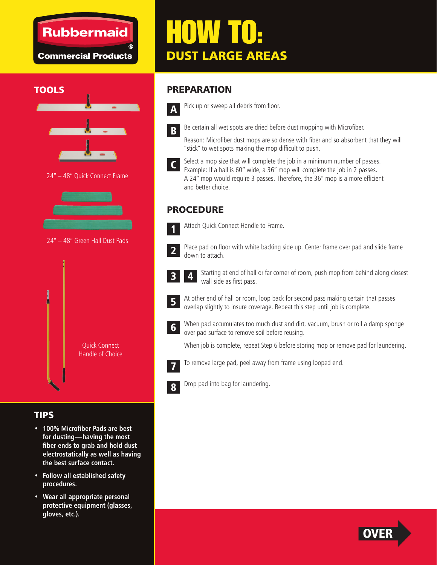### **Rubbermaid**

**Commercial Products** 

# HOW TO: DUST LARGE AREAS

#### **TOOLS**



24" – 48" Quick Connect Frame



24" – 48" Green Hall Dust Pads



#### TIPS

- **100% Microfiber Pads are best for dusting—having the most fi ber ends to grab and hold dust electrostatically as well as having the best surface contact.**
- **Follow all established safety procedures.**
- **Wear all appropriate personal protective equipment (glasses, gloves, etc.).**

#### PREPARATION



Pick up or sweep all debris from floor.



Be certain all wet spots are dried before dust mopping with Microfiber.

Reason: Microfiber dust mops are so dense with fiber and so absorbent that they will "stick" to wet spots making the mop difficult to push.



Select a mop size that will complete the job in a minimum number of passes. Example: If a hall is 60" wide, a 36" mop will complete the job in 2 passes. A 24" mop would require 3 passes. Therefore, the 36" mop is a more efficient and better choice.

#### PROCEDURE



Attach Quick Connect Handle to Frame.



Place pad on floor with white backing side up. Center frame over pad and slide frame down to attach.



Starting at end of hall or far corner of room, push mop from behind along closest wall side as first pass. 4



At other end of hall or room, loop back for second pass making certain that passes overlap slightly to insure coverage. Repeat this step until job is complete.



When pad accumulates too much dust and dirt, vacuum, brush or roll a damp sponge over pad surface to remove soil before reusing.

When job is complete, repeat Step 6 before storing mop or remove pad for laundering.



To remove large pad, peel away from frame using looped end.



Drop pad into bag for laundering.